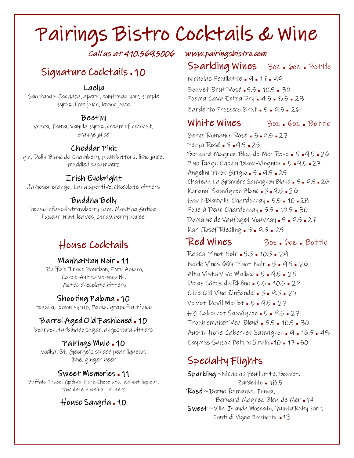# Pairings Bistro Cocktails & Wine

Call us at 410.569.5006 www.pairingsbistro.com

# Signature Cocktails . 10

#### Laelia

Sao Paoulo Cachaça, aperol, cointreau noir, simple syrup, lime juice, lemon juice

#### Beetini

vodka, Pama, vanilla syrup, cream of coconut, orange juice

#### Cheddar Pink

gin, Dolin Blanc de Chambery, plum bitters, lime juice, muddled cucumbers

#### Irish Eyebright

Jameson orange, Luna apertivo, chocolate bitters

#### Buddha Belly

house infused strawberry rum, Mastiha Antica liqueur, mint leaves, strawberry purée

## House Cocktails

#### Manhattan Noir ∎ 11

Buffalo Trace Bourbon, Foro Amaro, Carpe Antica Vermouth, Aztec chocolate bitters

#### Shooting Paloma ∎ 10

tequila, lemon syrup, Pama, grapefruit juice

### Barrel Aged Old Fashioned ∎ 10

bourbon, turbinado sugar, angostura bitters

#### Pairings Mule ∎ 10

vodka, St. George's spiced pear liqueur, lime, ginger beer

#### Sweet Memories ∎ 11

Buffalo Trace, Godiva Dark Chocolate, walnut liqueur, chocolate + walnut bitters

### House Sangria ∎ 10

### Sparkling Wines 3oz <sup>∎</sup> 6oz <sup>∎</sup> Bottle

Nicholas Feuillatte <sup>∎</sup> 9 <sup>∎</sup> 17 <sup>∎</sup> 49 Bouvet Brut Rosé <sup>∎</sup> 5.5 <sup>∎</sup> 10.5 <sup>∎</sup> 30 Poema Cava Extra Dry <sup>∎</sup> 4.5 <sup>∎</sup> 8.5 <sup>∎</sup> 23 Zardetto Prosecco Brut <sup>∎</sup> 5 <sup>∎</sup> 9.5 <sup>∎</sup> 26

White Wines 3oz <sup>∎</sup> 6oz <sup>∎</sup> Bottle

Berne Romance Rosé <sup>∎</sup> 5 <sup>∎</sup> 9.5 <sup>∎</sup> 27 Penya Rosé <sup>∎</sup> 5 <sup>∎</sup> 9.5 <sup>∎</sup> 25 Bernard Magrez Bleu de Mer Rosé <sup>∎</sup> 5 <sup>∎</sup> 9.5 <sup>∎</sup> 26 Pine Ridge Chenin Blanc-Viognier <sup>∎</sup> 5 <sup>∎</sup> 9.5 <sup>∎</sup> 27 Angelini Pinot Grigio <sup>∎</sup> 5 <sup>∎</sup> 9.5 <sup>∎</sup> 25 Chateau La Gravière Sauvignon Blanc <sup>∎</sup> 5 <sup>∎</sup> 9.5 <sup>∎</sup> 26 Kuranui Sauvignon Blanc <sup>∎</sup> 5 <sup>∎</sup> 9.5 <sup>∎</sup> 26 Haut-Blanville Chardonnay <sup>∎</sup> 5.5 <sup>∎</sup> 10 <sup>∎</sup> 28 Folie à Deux Chardonnay <sup>∎</sup> 5.5 <sup>∎</sup> 10.5 <sup>∎</sup> 30 Domaine de Vaufuget Vouvray <sup>∎</sup> 5 <sup>∎</sup> 9.5 <sup>∎</sup> 27 Karl Josef Riesling <sup>∎</sup> 5 <sup>∎</sup> 9.5 <sup>∎</sup> 25

Red Wines 302.602. Bottle

Rascal Pinot Noir <sup>∎</sup> 5.5 <sup>∎</sup> 10.5 <sup>∎</sup> 29 Noble Vines 667 Pinot Noir <sup>∎</sup> 5 <sup>∎</sup> 9.5 <sup>∎</sup> 26 Alta Vista Vive Malbec <sup>∎</sup> 5 <sup>∎</sup> 9.5 <sup>∎</sup> 25 Delas Côtes du Rhône <sup>∎</sup> 5.5 <sup>∎</sup> 10.5 <sup>∎</sup> 29 Cline Old Vine Zinfandel <sup>∎</sup> 5 <sup>∎</sup> 9.5 <sup>∎</sup> 27 Velvet Devil Merlot <sup>∎</sup> 5 <sup>∎</sup> 9.5 <sup>∎</sup> 27 H3 Cabernet Sauvignon <sup>∎</sup> 5 <sup>∎</sup> 9.5 <sup>∎</sup> 27 Troublemaker Red Blend <sup>∎</sup> 5.5 <sup>∎</sup> 10.5 <sup>∎</sup> 30 Austin Hope Cabernet Sauvignon <sup>∎</sup> 9 <sup>∎</sup> 16.5 <sup>∎</sup> 48 Caymus-Suison Petite Sirah <sup>∎</sup> 10 <sup>∎</sup> 17 <sup>∎</sup> 50

# Specialty Flights

 Sparkling ~Nicholas Feuillatte, Bouvet, Zardetto <sup>∎</sup> 18.5 Rosé ~ Berne Romance, Penya, Bernard Magrez Bleu de Mer <sup>∎</sup> 14 Sweet  $\sim$  Villa Jolanda Moscato, Quinta Ruby Port, Canti di Vigna Brachetto <sup>∎</sup> 13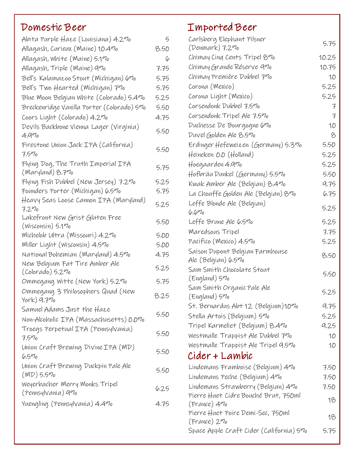# Domestic Beer

| Abita Purple Haze (Louisiana) 4.27º                                  | 5           |
|----------------------------------------------------------------------|-------------|
| Allagash, Curieux (Maine) 10.47º                                     | 8.50        |
| Allagash, White (Maine) 5.1%                                         | 6           |
| Allagash, Triple (Maine) 970                                         | 7.75        |
| Bell's Kalamazoo Stout (Michigan) 670                                | 5.75        |
| Bell's Two Hearted (Michigan) 7%                                     | 5.75        |
| Blue Moon Belgian White (Colorado) 5.47o                             | 5.25        |
| Breckenridge Vanilla Porter (Colorado) 570                           | 5.50        |
| Coors Light (Colorado) 4.270                                         | 4.75        |
| Devils Backbone Vienna Lager (Virginia)<br>$4.9\%$                   | 5.50        |
| Firestone Union Jack IPA (California)<br>$7.5\%$                     | 5.50        |
| Flying Dog, The Truth Imperial IPA<br>(Maryland) 8.7%                | 5.75        |
| Flying Fish Dubbel (New Jersey) 7.2%                                 | 5.25        |
| Founders Porter (Michigan) 6.5%                                      | 5.75        |
| Heavy Seas Loose Cannon IPA (Maryland)<br>7.2%                       | 5.25        |
| Lakefront New Grist Gluten Free<br>(Wisconsin) 5.1 <i>7</i> o        | 5.50        |
| Michelob Ultra (Missouri) 4.2%                                       | <b>5.00</b> |
| Miller Light (Wisconsin) 4.5%                                        | <b>5.00</b> |
| National Bohemian (Maryland) 4.5%                                    | 4.75        |
| New Belgium Fat Tire Amber Ale<br>(Colorado) 5.27o                   | 5.25        |
| Ommegang Witte (New York) 5.27o                                      | 5.75        |
| Ommegang 3 Philosophers Quad (New<br>York) $9.7\%$                   | 8.25        |
| Samuel Adams Just the Haze<br>Non-Alcoholic IPA (Massachusetts) 0.0% | 5.50        |
| Troegs Perpetual IPA (Pennsylvania)<br>$7.5\%$                       | 5.50        |
| Union Craft Brewing Divine IPA (MD)<br>$6.5\%$                       | 5.50        |
| Union Craft Brewing Duckpin Pale Ale<br>$(MD)$ 5.5%                  | 5.50        |
| Weyerbacher Merry Monks Tripel<br>(Pennsylvania) 970                 | 6.25        |
| Yuengling (Pennsylvania) 4.4%                                        | 4.75        |
|                                                                      |             |

# Imported Beer

| Carlsberg Elephant Pilsner                             |               |
|--------------------------------------------------------|---------------|
| (Denmark) 7.27o                                        | 5.75          |
| Chimay Cing Cents Tripel 870                           | 10.25         |
| Chimay Grande Réserve 970                              | 10.75         |
| Chimay Première Dubbel 790                             | 10            |
| Corona (Mexico)                                        | 5.25          |
| Corona Light (Mexico)                                  | 5.25          |
| Corsendonk Dubbel 7.5%                                 | 7             |
| Corsendonk Tripel Ale 7.5%                             | $\mathcal{F}$ |
| Duchesse De Bourgogne 670                              | 10            |
| Duvel Golden Ale 8.5%                                  | 8             |
| Erdinger Hefeweizen (Germany) 5.3%                     | 5.50          |
| Heineken O.O (Holland)                                 | 5.25          |
| Hoegaarden 4.97o                                       | 5.25          |
| Hofbräu Dunkel (Germany) 5.5%                          | 5.50          |
| Kwak Amber Ale (Belgian) 8.47º                         | 9.75          |
| La Chouffe Golden Ale (Belgian) 87º                    | 6.75          |
| Leffe Blonde Ale (Belgian)                             |               |
| 6.670                                                  | 5.25          |
| Leffe Brune Ale 6.570                                  | 5.25          |
| Maredsous Tripel                                       | 7.75          |
| Pacifico (Mexico) 4.5%                                 | 5.25          |
| Saison Dupont Belgian Farmhouse<br>Ale (Belgian) 6.57º | 8.50          |
| Sam Smith Chocolate Stout                              |               |
| (England) 57o                                          | 5.50          |
| Sam Smith Organic Pale Ale<br>(England) 5%             | 5.25          |
| St. Bernardus Abt 12 (Belgium)10%                      | 9.75          |
| Stella Artois (Belgium) 5%                             | 5.25          |
| Tripel Karmeliet (Belgium) 8.4%                        | 9.25          |
| Westmalle Trappist Ale Dubbel 770                      | 10            |
| Westmalle Trappist Ale Tripel 9.5%                     | 10            |
| Cider + Lambic                                         |               |
| Lindemans Framboise (Belgium) 47º                      | 7.50          |
| Lindemans Peche (Belgium) 47º                          | 7.50          |
| Lindemans Strawberry (Belgian) 47º                     | 7.50          |
| Pierre Huet Cidre Bouché Brut, 750ml                   | 18            |
| (France) 47º                                           |               |
| Pierre Huet Poire Demi-Sec, 750ml                      | 18            |
| (France) 27o                                           |               |
| Space Apple Craft Cider (California) 5%                | 5.75          |